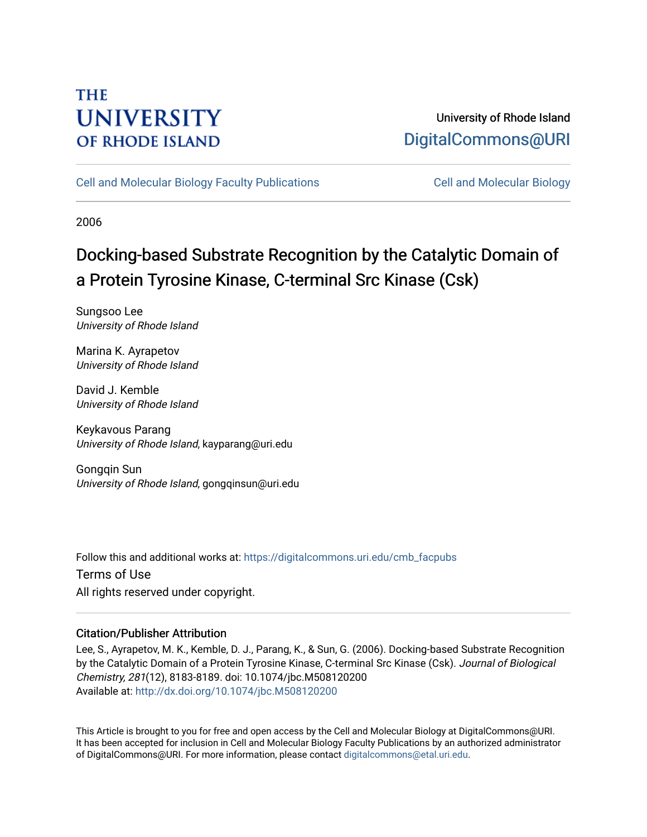## **THE UNIVERSITY OF RHODE ISLAND**

## University of Rhode Island [DigitalCommons@URI](https://digitalcommons.uri.edu/)

[Cell and Molecular Biology Faculty Publications](https://digitalcommons.uri.edu/cmb_facpubs) [Cell and Molecular Biology](https://digitalcommons.uri.edu/cmb) 

2006

# Docking-based Substrate Recognition by the Catalytic Domain of a Protein Tyrosine Kinase, C-terminal Src Kinase (Csk)

Sungsoo Lee University of Rhode Island

Marina K. Ayrapetov University of Rhode Island

David J. Kemble University of Rhode Island

Keykavous Parang University of Rhode Island, kayparang@uri.edu

Gongqin Sun University of Rhode Island, gongqinsun@uri.edu

Follow this and additional works at: [https://digitalcommons.uri.edu/cmb\\_facpubs](https://digitalcommons.uri.edu/cmb_facpubs?utm_source=digitalcommons.uri.edu%2Fcmb_facpubs%2F45&utm_medium=PDF&utm_campaign=PDFCoverPages)  Terms of Use All rights reserved under copyright.

## Citation/Publisher Attribution

Lee, S., Ayrapetov, M. K., Kemble, D. J., Parang, K., & Sun, G. (2006). Docking-based Substrate Recognition by the Catalytic Domain of a Protein Tyrosine Kinase, C-terminal Src Kinase (Csk). Journal of Biological Chemistry, 281(12), 8183-8189. doi: 10.1074/jbc.M508120200 Available at:<http://dx.doi.org/10.1074/jbc.M508120200>

This Article is brought to you for free and open access by the Cell and Molecular Biology at DigitalCommons@URI. It has been accepted for inclusion in Cell and Molecular Biology Faculty Publications by an authorized administrator of DigitalCommons@URI. For more information, please contact [digitalcommons@etal.uri.edu](mailto:digitalcommons@etal.uri.edu).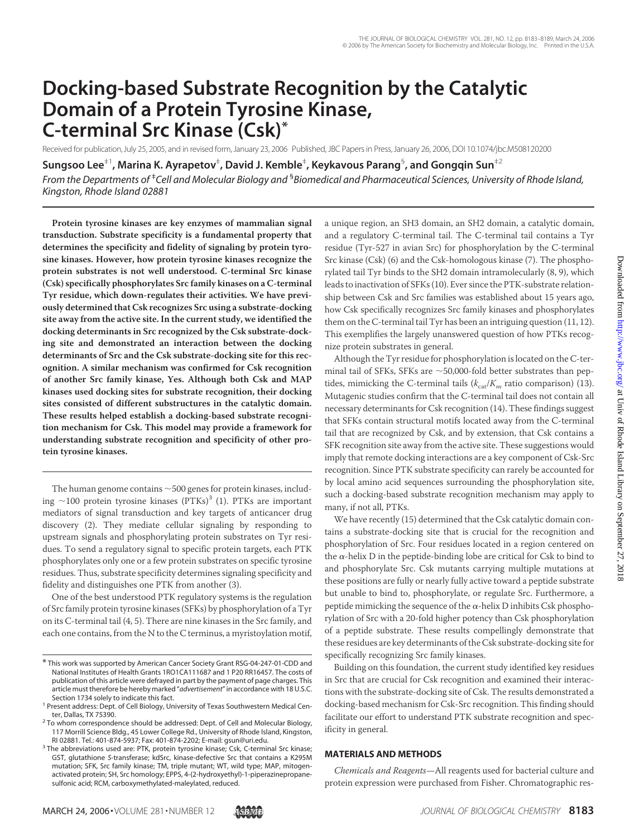## **Docking-based Substrate Recognition by the Catalytic Domain of a Protein Tyrosine Kinase, C-terminal Src Kinase (Csk)\***

Received for publication, July 25, 2005, and in revised form, January 23, 2006 Published, JBC Papers in Press, January 26, 2006, DOI 10.1074/jbc.M508120200

**Sungsoo Lee**‡1**, Marina K. Ayrapetov**‡ **, David J. Kemble**‡ **, Keykavous Parang**§ **, and Gongqin Sun**‡2 *From the Departments of* ‡ *Cell and Molecular Biology and* § *Biomedical and Pharmaceutical Sciences, University of Rhode Island, Kingston, Rhode Island 02881*

**Protein tyrosine kinases are key enzymes of mammalian signal transduction. Substrate specificity is a fundamental property that determines the specificity and fidelity of signaling by protein tyrosine kinases. However, how protein tyrosine kinases recognize the protein substrates is not well understood. C-terminal Src kinase (Csk) specifically phosphorylates Src family kinases on a C-terminal Tyr residue, which down-regulates their activities. We have previously determined that Csk recognizes Src using a substrate-docking site away from the active site. In the current study, we identified the docking determinants in Src recognized by the Csk substrate-docking site and demonstrated an interaction between the docking determinants of Src and the Csk substrate-docking site for this recognition. A similar mechanism was confirmed for Csk recognition of another Src family kinase, Yes. Although both Csk and MAP kinases used docking sites for substrate recognition, their docking sites consisted of different substructures in the catalytic domain. These results helped establish a docking-based substrate recognition mechanism for Csk. This model may provide a framework for understanding substrate recognition and specificity of other protein tyrosine kinases.**

The human genome contains  $\sim$  500 genes for protein kinases, including  $\sim$ 100 protein tyrosine kinases (PTKs)<sup>3</sup> (1). PTKs are important mediators of signal transduction and key targets of anticancer drug discovery (2). They mediate cellular signaling by responding to upstream signals and phosphorylating protein substrates on Tyr residues. To send a regulatory signal to specific protein targets, each PTK phosphorylates only one or a few protein substrates on specific tyrosine residues. Thus, substrate specificity determines signaling specificity and fidelity and distinguishes one PTK from another (3).

One of the best understood PTK regulatory systems is the regulation of Src family protein tyrosine kinases (SFKs) by phosphorylation of a Tyr on its C-terminal tail (4, 5). There are nine kinases in the Src family, and each one contains, from the N to the C terminus, a myristoylation motif, a unique region, an SH3 domain, an SH2 domain, a catalytic domain, and a regulatory C-terminal tail. The C-terminal tail contains a Tyr residue (Tyr-527 in avian Src) for phosphorylation by the C-terminal Src kinase (Csk) (6) and the Csk-homologous kinase (7). The phosphorylated tail Tyr binds to the SH2 domain intramolecularly (8, 9), which leads to inactivation of SFKs (10). Ever since the PTK-substrate relationship between Csk and Src families was established about 15 years ago, how Csk specifically recognizes Src family kinases and phosphorylates them on the C-terminal tail Tyr has been an intriguing question (11, 12). This exemplifies the largely unanswered question of how PTKs recognize protein substrates in general.

Although the Tyr residue for phosphorylation is located on the C-terminal tail of SFKs, SFKs are  $\sim$  50,000-fold better substrates than peptides, mimicking the C-terminal tails  $(k_{cat}/K_m$  ratio comparison) (13). Mutagenic studies confirm that the C-terminal tail does not contain all necessary determinants for Csk recognition (14). These findings suggest that SFKs contain structural motifs located away from the C-terminal tail that are recognized by Csk, and by extension, that Csk contains a SFK recognition site away from the active site. These suggestions would imply that remote docking interactions are a key component of Csk-Src recognition. Since PTK substrate specificity can rarely be accounted for by local amino acid sequences surrounding the phosphorylation site, such a docking-based substrate recognition mechanism may apply to many, if not all, PTKs.

We have recently (15) determined that the Csk catalytic domain contains a substrate-docking site that is crucial for the recognition and phosphorylation of Src. Four residues located in a region centered on the  $\alpha$ -helix D in the peptide-binding lobe are critical for Csk to bind to and phosphorylate Src. Csk mutants carrying multiple mutations at these positions are fully or nearly fully active toward a peptide substrate but unable to bind to, phosphorylate, or regulate Src. Furthermore, a peptide mimicking the sequence of the  $\alpha$ -helix D inhibits Csk phosphorylation of Src with a 20-fold higher potency than Csk phosphorylation of a peptide substrate. These results compellingly demonstrate that these residues are key determinants of the Csk substrate-docking site for specifically recognizing Src family kinases.

Building on this foundation, the current study identified key residues in Src that are crucial for Csk recognition and examined their interactions with the substrate-docking site of Csk. The results demonstrated a docking-based mechanism for Csk-Src recognition. This finding should facilitate our effort to understand PTK substrate recognition and specificity in general.

#### **MATERIALS AND METHODS**

*Chemicals and Reagents*—All reagents used for bacterial culture and protein expression were purchased from Fisher. Chromatographic res-

<sup>\*</sup> This work was supported by American Cancer Society Grant RSG-04-247-01-CDD and National Institutes of Health Grants 1RO1CA111687 and 1 P20 RR16457. The costs of publication of this article were defrayed in part by the payment of page charges. This article must therefore be hereby marked "*advertisement*" in accordance with 18 U.S.C.

<sup>&</sup>lt;sup>1</sup> Present address: Dept. of Cell Biology, University of Texas Southwestern Medical Center, Dallas, TX 75390.<br><sup>2</sup> To whom correspondence should be addressed: Dept. of Cell and Molecular Biology,

<sup>117</sup> Morrill Science Bldg., 45 Lower College Rd., University of Rhode Island, Kingston,

RI 02881. Tel.: 401-874-5937; Fax: 401-874-2202; E-mail: gsun@uri.edu. <sup>3</sup> The abbreviations used are: PTK, protein tyrosine kinase; Csk, C-terminal Src kinase; GST, glutathione *S*-transferase; kdSrc, kinase-defective Src that contains a K295M mutation; SFK, Src family kinase; TM, triple mutant; WT, wild type; MAP, mitogenactivated protein; SH, Src homology; EPPS, 4-(2-hydroxyethyl)-1-piperazinepropanesulfonic acid; RCM, carboxymethylated-maleylated, reduced.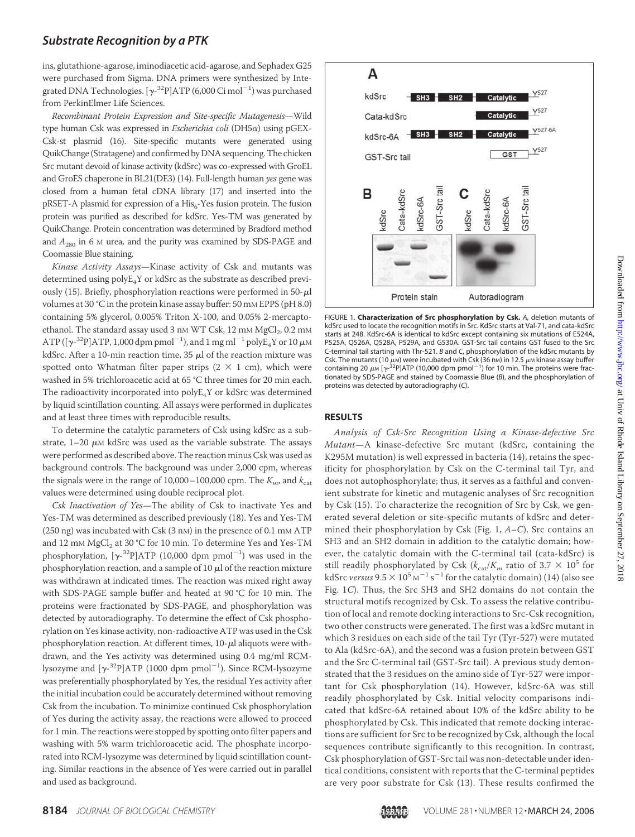### *Substrate Recognition by a PTK*

ins, glutathione-agarose, iminodiacetic acid-agarose, and Sephadex G25 were purchased from Sigma. DNA primers were synthesized by Integrated DNA Technologies. [ $\gamma$ - $^{32}$ P]ATP (6,000 Ci mol $^{-1}$ ) was purchased from PerkinElmer Life Sciences.

*Recombinant Protein Expression and Site-specific Mutagenesis*—Wild type human Csk was expressed in *Escherichia coli* (DH5α) using pGEX-Csk-st plasmid (16). Site-specific mutants were generated using QuikChange (Stratagene) and confirmed by DNA sequencing.The chicken Src mutant devoid of kinase activity (kdSrc) was co-expressed with GroEL and GroES chaperone in BL21(DE3) (14). Full-length human *yes* gene was closed from a human fetal cDNA library (17) and inserted into the pRSET-A plasmid for expression of a His<sub>6</sub>-Yes fusion protein. The fusion protein was purified as described for kdSrc. Yes-TM was generated by QuikChange. Protein concentration was determined by Bradford method and  $A_{280}$  in 6 M urea, and the purity was examined by SDS-PAGE and Coomassie Blue staining.

*Kinase Activity Assays*—Kinase activity of Csk and mutants was determined using  $polyE_4Y$  or kdSrc as the substrate as described previously (15). Briefly, phosphorylation reactions were performed in  $50-\mu$ l volumes at 30 °C in the protein kinase assay buffer: 50 mM EPPS (pH 8.0) containing 5% glycerol, 0.005% Triton X-100, and 0.05% 2-mercaptoethanol. The standard assay used 3 nm WT Csk, 12 mm MgCl<sub>2</sub>, 0.2 mm ATP ([ $\gamma$ -<sup>32</sup>P]ATP, 1,000 dpm pmol $^{-1}$ ), and 1 mg ml $^{-1}$  polyE<sub>4</sub>Y or 10  $\mu$ M kdSrc. After a 10-min reaction time, 35  $\mu$ l of the reaction mixture was spotted onto Whatman filter paper strips  $(2 \times 1 \text{ cm})$ , which were washed in 5% trichloroacetic acid at 65 °C three times for 20 min each. The radioactivity incorporated into  $polyE<sub>4</sub>Y$  or kdSrc was determined by liquid scintillation counting. All assays were performed in duplicates and at least three times with reproducible results.

To determine the catalytic parameters of Csk using kdSrc as a substrate,  $1-20 \mu$ M kdSrc was used as the variable substrate. The assays were performed as described above. The reaction minus Csk was used as background controls. The background was under 2,000 cpm, whereas the signals were in the range of  $10,000$ –100,000 cpm. The  $K_{m}$ , and  $k_{\text{cat}}$ values were determined using double reciprocal plot.

*Csk Inactivation of Yes*—The ability of Csk to inactivate Yes and Yes-TM was determined as described previously (18). Yes and Yes-TM  $(250 \text{ ng})$  was incubated with Csk  $(3 \text{ nm})$  in the presence of 0.1 mm ATP and 12 mM MgCl<sub>2</sub> at 30 °C for 10 min. To determine Yes and Yes-TM phosphorylation,  $[\gamma^{-32}P]$ ATP (10,000 dpm pmol<sup>-1</sup>) was used in the phosphorylation reaction, and a sample of 10  $\mu$ l of the reaction mixture was withdrawn at indicated times. The reaction was mixed right away with SDS-PAGE sample buffer and heated at 90 °C for 10 min. The proteins were fractionated by SDS-PAGE, and phosphorylation was detected by autoradiography. To determine the effect of Csk phosphorylation on Yes kinase activity, non-radioactive ATP was used in the Csk phosphorylation reaction. At different times,  $10$ - $\mu$ l aliquots were withdrawn, and the Yes activity was determined using 0.4 mg/ml RCMlysozyme and  $[\gamma^{-32}P]$ ATP (1000 dpm  $pmo1^{-1}$ ). Since RCM-lysozyme was preferentially phosphorylated by Yes, the residual Yes activity after the initial incubation could be accurately determined without removing Csk from the incubation. To minimize continued Csk phosphorylation of Yes during the activity assay, the reactions were allowed to proceed for 1 min. The reactions were stopped by spotting onto filter papers and washing with 5% warm trichloroacetic acid. The phosphate incorporated into RCM-lysozyme was determined by liquid scintillation counting. Similar reactions in the absence of Yes were carried out in parallel and used as background.



FIGURE 1. **Characterization of Src phosphorylation by Csk.** *A*, deletion mutants of kdSrc used to locate the recognition motifs in Src. KdSrc starts at Val-71, and cata-kdSrc starts at 248. KdSrc-6A is identical to kdSrc except containing six mutations of E524A, P525A, Q526A, Q528A, P529A, and G530A. GST-Src tail contains GST fused to the Src C-terminal tail starting with Thr-521. *B* and *C*, phosphorylation of the kdSrc mutants by Csk. The mutants (10  $\mu$ m) were incubated with Csk (36 nm) in 12.5  $\mu$ m kinase assay buffer containing 20  $\mu$ м [ $\gamma$ <sup>-32</sup>P]ATP (10,000 dpm pmol<sup>-1</sup>) for 10 min. The proteins were fractionated by SDS-PAGE and stained by Coomassie Blue (*B*), and the phosphorylation of proteins was detected by autoradiography (*C*).

#### **RESULTS**

*Analysis of Csk-Src Recognition Using a Kinase-defective Src Mutant*—A kinase-defective Src mutant (kdSrc, containing the K295M mutation) is well expressed in bacteria (14), retains the specificity for phosphorylation by Csk on the C-terminal tail Tyr, and does not autophosphorylate; thus, it serves as a faithful and convenient substrate for kinetic and mutagenic analyses of Src recognition by Csk (15). To characterize the recognition of Src by Csk, we generated several deletion or site-specific mutants of kdSrc and determined their phosphorylation by Csk (Fig. 1, *A–C*). Src contains an SH3 and an SH2 domain in addition to the catalytic domain; however, the catalytic domain with the C-terminal tail (cata-kdSrc) is still readily phosphorylated by Csk ( $k_{\text{cat}}/K_m$  ratio of 3.7  $\times$  10<sup>5</sup> for kdSrc *versus* 9.5  $\times$   $10^5$   $\rm{M}^{-1}$  s $^{-1}$  for the catalytic domain) (14) (also see Fig. 1*C*). Thus, the Src SH3 and SH2 domains do not contain the structural motifs recognized by Csk. To assess the relative contribution of local and remote docking interactions to Src-Csk recognition, two other constructs were generated. The first was a kdSrc mutant in which 3 residues on each side of the tail Tyr (Tyr-527) were mutated to Ala (kdSrc-6A), and the second was a fusion protein between GST and the Src C-terminal tail (GST-Src tail). A previous study demonstrated that the 3 residues on the amino side of Tyr-527 were important for Csk phosphorylation (14). However, kdSrc-6A was still readily phosphorylated by Csk. Initial velocity comparisons indicated that kdSrc-6A retained about 10% of the kdSrc ability to be phosphorylated by Csk. This indicated that remote docking interactions are sufficient for Src to be recognized by Csk, although the local sequences contribute significantly to this recognition. In contrast, Csk phosphorylation of GST-Src tail was non-detectable under identical conditions, consistent with reports that the C-terminal peptides are very poor substrate for Csk (13). These results confirmed the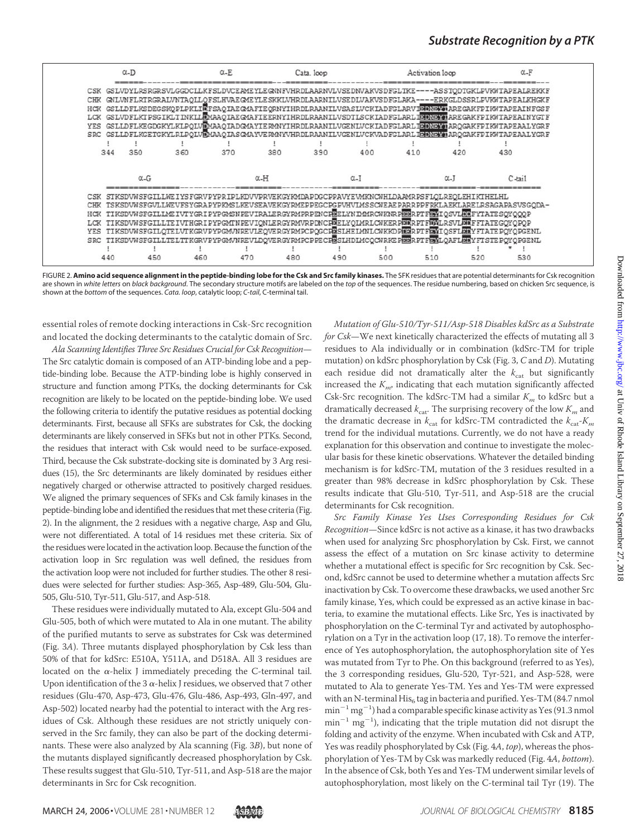

FIGURE 2. **Amino acid sequence alignment in the peptide-binding lobe for the Csk and Src family kinases.** The SFK residues that are potential determinants for Csk recognition are shown in *white letters* on *black background*. The secondary structure motifs are labeled on the *top* of the sequences. The residue numbering, based on chicken Src sequence, is shown at the *bottom* of the sequences. *Cata. loop*, catalytic loop; *C-tail*, C-terminal tail.

essential roles of remote docking interactions in Csk-Src recognition and located the docking determinants to the catalytic domain of Src.

*Ala Scanning Identifies Three Src Residues Crucial for Csk Recognition*— The Src catalytic domain is composed of an ATP-binding lobe and a peptide-binding lobe. Because the ATP-binding lobe is highly conserved in structure and function among PTKs, the docking determinants for Csk recognition are likely to be located on the peptide-binding lobe. We used the following criteria to identify the putative residues as potential docking determinants. First, because all SFKs are substrates for Csk, the docking determinants are likely conserved in SFKs but not in other PTKs. Second, the residues that interact with Csk would need to be surface-exposed. Third, because the Csk substrate-docking site is dominated by 3 Arg residues (15), the Src determinants are likely dominated by residues either negatively charged or otherwise attracted to positively charged residues. We aligned the primary sequences of SFKs and Csk family kinases in the peptide-binding lobe and identified the residues that met these criteria (Fig. 2). In the alignment, the 2 residues with a negative charge, Asp and Glu, were not differentiated. A total of 14 residues met these criteria. Six of the residues were located in the activation loop. Because the function of the activation loop in Src regulation was well defined, the residues from the activation loop were not included for further studies. The other 8 residues were selected for further studies: Asp-365, Asp-489, Glu-504, Glu-505, Glu-510, Tyr-511, Glu-517, and Asp-518.

These residues were individually mutated to Ala, except Glu-504 and Glu-505, both of which were mutated to Ala in one mutant. The ability of the purified mutants to serve as substrates for Csk was determined (Fig. 3*A*). Three mutants displayed phosphorylation by Csk less than 50% of that for kdSrc: E510A, Y511A, and D518A. All 3 residues are located on the  $\alpha$ -helix J immediately preceding the C-terminal tail. Upon identification of the 3  $\alpha$ -helix J residues, we observed that 7 other residues (Glu-470, Asp-473, Glu-476, Glu-486, Asp-493, Gln-497, and Asp-502) located nearby had the potential to interact with the Arg residues of Csk. Although these residues are not strictly uniquely conserved in the Src family, they can also be part of the docking determinants. These were also analyzed by Ala scanning (Fig. 3*B*), but none of the mutants displayed significantly decreased phosphorylation by Csk. These results suggest that Glu-510, Tyr-511, and Asp-518 are the major determinants in Src for Csk recognition.

*Mutation of Glu-510/Tyr-511/Asp-518 Disables kdSrc as a Substrate for Csk*—We next kinetically characterized the effects of mutating all 3 residues to Ala individually or in combination (kdSrc-TM for triple mutation) on kdSrc phosphorylation by Csk (Fig. 3, *C* and *D*). Mutating each residue did not dramatically alter the  $k_{\text{cat}}$  but significantly increased the *Km*, indicating that each mutation significantly affected Csk-Src recognition. The kdSrc-TM had a similar  $K_m$  to kdSrc but a dramatically decreased  $k_{\text{cat}}$ . The surprising recovery of the low  $K_m$  and the dramatic decrease in  $k_{\text{cat}}$  for kdSrc-TM contradicted the  $k_{\text{cat}}$ - $K_m$ trend for the individual mutations. Currently, we do not have a ready explanation for this observation and continue to investigate the molecular basis for these kinetic observations. Whatever the detailed binding mechanism is for kdSrc-TM, mutation of the 3 residues resulted in a greater than 98% decrease in kdSrc phosphorylation by Csk. These results indicate that Glu-510, Tyr-511, and Asp-518 are the crucial determinants for Csk recognition.

*Src Family Kinase Yes Uses Corresponding Residues for Csk Recognition*—Since kdSrc is not active as a kinase, it has two drawbacks when used for analyzing Src phosphorylation by Csk. First, we cannot assess the effect of a mutation on Src kinase activity to determine whether a mutational effect is specific for Src recognition by Csk. Second, kdSrc cannot be used to determine whether a mutation affects Src inactivation by Csk. To overcome these drawbacks, we used another Src family kinase, Yes, which could be expressed as an active kinase in bacteria, to examine the mutational effects. Like Src, Yes is inactivated by phosphorylation on the C-terminal Tyr and activated by autophosphorylation on a Tyr in the activation loop (17, 18). To remove the interference of Yes autophosphorylation, the autophosphorylation site of Yes was mutated from Tyr to Phe. On this background (referred to as Yes), the 3 corresponding residues, Glu-520, Tyr-521, and Asp-528, were mutated to Ala to generate Yes-TM. Yes and Yes-TM were expressed with an N-terminal  $His<sub>6</sub>$  tag in bacteria and purified. Yes-TM (84.7 nmol  $\rm{min}^{-1}\rm{mg}^{-1}$ ) had a comparable specific kinase activity as Yes (91.3 nmol  $min^{-1}$  mg<sup>-1</sup>), indicating that the triple mutation did not disrupt the folding and activity of the enzyme. When incubated with Csk and ATP, Yes was readily phosphorylated by Csk (Fig. 4*A*, *top*), whereas the phosphorylation of Yes-TM by Csk was markedly reduced (Fig. 4*A*, *bottom*). In the absence of Csk, both Yes and Yes-TM underwent similar levels of autophosphorylation, most likely on the C-terminal tail Tyr (19). The

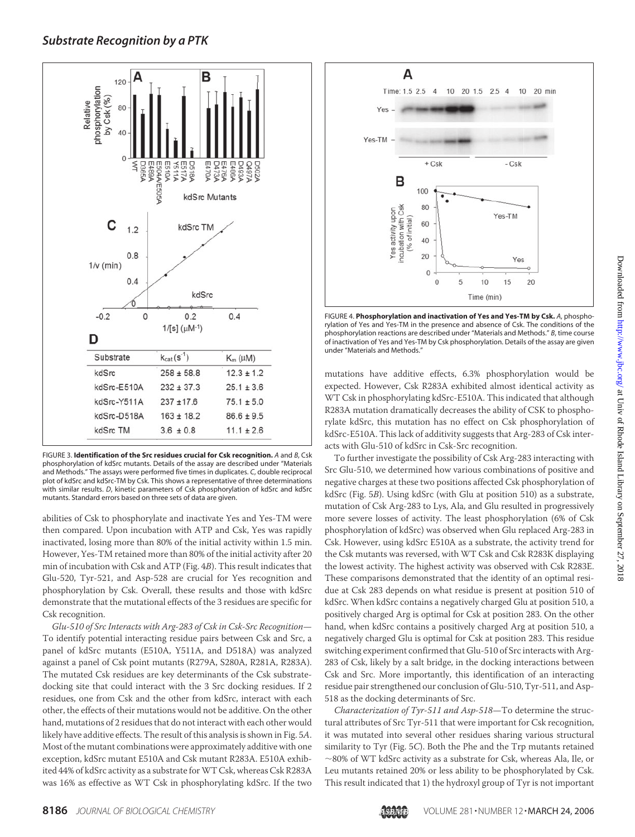

FIGURE 3. **Identification of the Src residues crucial for Csk recognition.** *A* and *B*, Csk phosphorylation of kdSrc mutants. Details of the assay are described under "Materials and Methods." The assays were performed five times in duplicates. *C*, double reciprocal plot of kdSrc and kdSrc-TM by Csk. This shows a representative of three determinations with similar results. *D*, kinetic parameters of Csk phosphorylation of kdSrc and kdSrc mutants. Standard errors based on three sets of data are given.

abilities of Csk to phosphorylate and inactivate Yes and Yes-TM were then compared. Upon incubation with ATP and Csk, Yes was rapidly inactivated, losing more than 80% of the initial activity within 1.5 min. However, Yes-TM retained more than 80% of the initial activity after 20 min of incubation with Csk and ATP (Fig. 4*B*). This result indicates that Glu-520, Tyr-521, and Asp-528 are crucial for Yes recognition and phosphorylation by Csk. Overall, these results and those with kdSrc demonstrate that the mutational effects of the 3 residues are specific for Csk recognition.

*Glu-510 of Src Interacts with Arg-283 of Csk in Csk-Src Recognition*— To identify potential interacting residue pairs between Csk and Src, a panel of kdSrc mutants (E510A, Y511A, and D518A) was analyzed against a panel of Csk point mutants (R279A, S280A, R281A, R283A). The mutated Csk residues are key determinants of the Csk substratedocking site that could interact with the 3 Src docking residues. If 2 residues, one from Csk and the other from kdSrc, interact with each other, the effects of their mutations would not be additive. On the other hand, mutations of 2 residues that do not interact with each other would likely have additive effects. The result of this analysis is shown in Fig. 5*A*. Most of the mutant combinations were approximately additive with one exception, kdSrc mutant E510A and Csk mutant R283A. E510A exhibited 44% of kdSrc activity as a substrate for WT Csk, whereas Csk R283A was 16% as effective as WT Csk in phosphorylating kdSrc. If the two



FIGURE 4. **Phosphorylation and inactivation of Yes and Yes-TM by Csk.** *A*, phosphorylation of Yes and Yes-TM in the presence and absence of Csk. The conditions of the phosphorylation reactions are described under "Materials and Methods." *B*, time course of inactivation of Yes and Yes-TM by Csk phosphorylation. Details of the assay are given under "Materials and Methods."

mutations have additive effects, 6.3% phosphorylation would be expected. However, Csk R283A exhibited almost identical activity as WT Csk in phosphorylating kdSrc-E510A. This indicated that although R283A mutation dramatically decreases the ability of CSK to phosphorylate kdSrc, this mutation has no effect on Csk phosphorylation of kdSrc-E510A. This lack of additivity suggests that Arg-283 of Csk interacts with Glu-510 of kdSrc in Csk-Src recognition.

To further investigate the possibility of Csk Arg-283 interacting with Src Glu-510, we determined how various combinations of positive and negative charges at these two positions affected Csk phosphorylation of kdSrc (Fig. 5*B*). Using kdSrc (with Glu at position 510) as a substrate, mutation of Csk Arg-283 to Lys, Ala, and Glu resulted in progressively more severe losses of activity. The least phosphorylation (6% of Csk phosphorylation of kdSrc) was observed when Glu replaced Arg-283 in Csk. However, using kdSrc E510A as a substrate, the activity trend for the Csk mutants was reversed, with WT Csk and Csk R283K displaying the lowest activity. The highest activity was observed with Csk R283E. These comparisons demonstrated that the identity of an optimal residue at Csk 283 depends on what residue is present at position 510 of kdSrc. When kdSrc contains a negatively charged Glu at position 510, a positively charged Arg is optimal for Csk at position 283. On the other hand, when kdSrc contains a positively charged Arg at position 510, a negatively charged Glu is optimal for Csk at position 283. This residue switching experiment confirmed that Glu-510 of Src interacts with Arg-283 of Csk, likely by a salt bridge, in the docking interactions between Csk and Src. More importantly, this identification of an interacting residue pair strengthened our conclusion of Glu-510, Tyr-511, and Asp-518 as the docking determinants of Src.

*Characterization of Tyr-511 and Asp-518*—To determine the structural attributes of Src Tyr-511 that were important for Csk recognition, it was mutated into several other residues sharing various structural similarity to Tyr (Fig. 5*C*). Both the Phe and the Trp mutants retained  $\sim$ 80% of WT kdSrc activity as a substrate for Csk, whereas Ala, Ile, or Leu mutants retained 20% or less ability to be phosphorylated by Csk. This result indicated that 1) the hydroxyl group of Tyr is not important

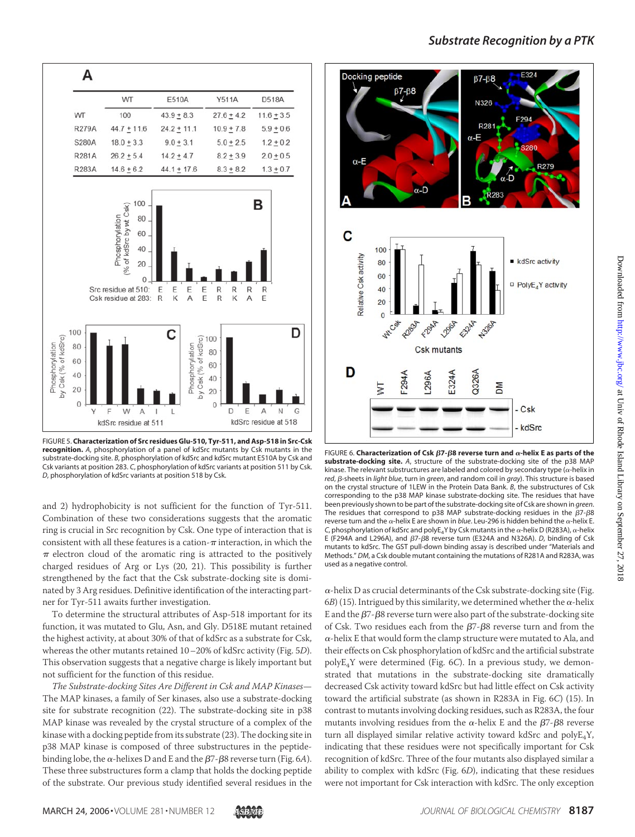

FIGURE 5. **Characterization of Src residues Glu-510, Tyr-511, and Asp-518 in Src-Csk recognition.** *A*, phosphorylation of a panel of kdSrc mutants by Csk mutants in the substrate-docking site. *B*, phosphorylation of kdSrc and kdSrc mutant E510A by Csk and Csk variants at position 283. *C*, phosphorylation of kdSrc variants at position 511 by Csk. *D*, phosphorylation of kdSrc variants at position 518 by Csk.

and 2) hydrophobicity is not sufficient for the function of Tyr-511. Combination of these two considerations suggests that the aromatic ring is crucial in Src recognition by Csk. One type of interaction that is consistent with all these features is a cation- $\pi$  interaction, in which the  $\pi$  electron cloud of the aromatic ring is attracted to the positively charged residues of Arg or Lys (20, 21). This possibility is further strengthened by the fact that the Csk substrate-docking site is dominated by 3 Arg residues. Definitive identification of the interacting partner for Tyr-511 awaits further investigation.

To determine the structural attributes of Asp-518 important for its function, it was mutated to Glu, Asn, and Gly. D518E mutant retained the highest activity, at about 30% of that of kdSrc as a substrate for Csk, whereas the other mutants retained 10–20% of kdSrc activity (Fig. 5*D*). This observation suggests that a negative charge is likely important but not sufficient for the function of this residue.

*The Substrate-docking Sites Are Different in Csk and MAP Kinases*— The MAP kinases, a family of Ser kinases, also use a substrate-docking site for substrate recognition (22). The substrate-docking site in p38 MAP kinase was revealed by the crystal structure of a complex of the kinase with a docking peptide from its substrate (23). The docking site in p38 MAP kinase is composed of three substructures in the peptidebinding lobe, the  $\alpha$ -helixes D and E and the  $\beta$ 7- $\beta$ 8 reverse turn (Fig. 6*A*). These three substructures form a clamp that holds the docking peptide of the substrate. Our previous study identified several residues in the



FIGURE 6. **Characterization of Csk**  $\beta$ **7-** $\beta$ **8 reverse turn and**  $\alpha$ **-helix <b>E** as parts of the **substrate-docking site.** *A*, structure of the substrate-docking site of the p38 MAP kinase. The relevant substructures are labeled and colored by secondary type ( $\alpha$ -helix in *red*, *β*-sheets in *light blue*, turn in *green*, and random coil in *gray*). This structure is based on the crystal structure of 1LEW in the Protein Data Bank. *B*, the substructures of Csk corresponding to the p38 MAP kinase substrate-docking site. The residues that have been previously shown to be part of the substrate-docking site of Csk are shown in *green*. The residues that correspond to p38 MAP substrate-docking residues in the  $\beta$ 7- $\beta$ 8 reverse turn and the  $\alpha$ -helix E are shown in *blue*. Leu-296 is hidden behind the  $\alpha$ -helix E. *C*, phosphorylation of kdSrc and polyE<sub>4</sub>Y by Csk mutants in the  $\alpha$ -helix D (R283A),  $\alpha$ -helix E (F294A and L296A), and  $\beta$ 7- $\beta$ 8 reverse turn (E324A and N326A). *D*, binding of Csk mutants to kdSrc. The GST pull-down binding assay is described under "Materials and Methods." *DM*, a Csk double mutant containing the mutations of R281A and R283A, was used as a negative control.

 $\alpha$ -helix D as crucial determinants of the Csk substrate-docking site (Fig.  $6B$ ) (15). Intrigued by this similarity, we determined whether the  $\alpha$ -helix E and the  $\beta$ 7- $\beta$ 8 reverse turn were also part of the substrate-docking site of Csk. Two residues each from the  $\beta$ 7- $\beta$ 8 reverse turn and from the  $\alpha$ -helix E that would form the clamp structure were mutated to Ala, and their effects on Csk phosphorylation of kdSrc and the artificial substrate polyE4Y were determined (Fig. 6*C*). In a previous study, we demonstrated that mutations in the substrate-docking site dramatically decreased Csk activity toward kdSrc but had little effect on Csk activity toward the artificial substrate (as shown in R283A in Fig. 6*C*) (15). In contrast to mutants involving docking residues, such as R283A, the four mutants involving residues from the  $\alpha$ -helix E and the  $\beta$ 7- $\beta$ 8 reverse turn all displayed similar relative activity toward kdSrc and  $polyE<sub>4</sub>Y$ , indicating that these residues were not specifically important for Csk recognition of kdSrc. Three of the four mutants also displayed similar a ability to complex with kdSrc (Fig. 6*D*), indicating that these residues were not important for Csk interaction with kdSrc. The only exception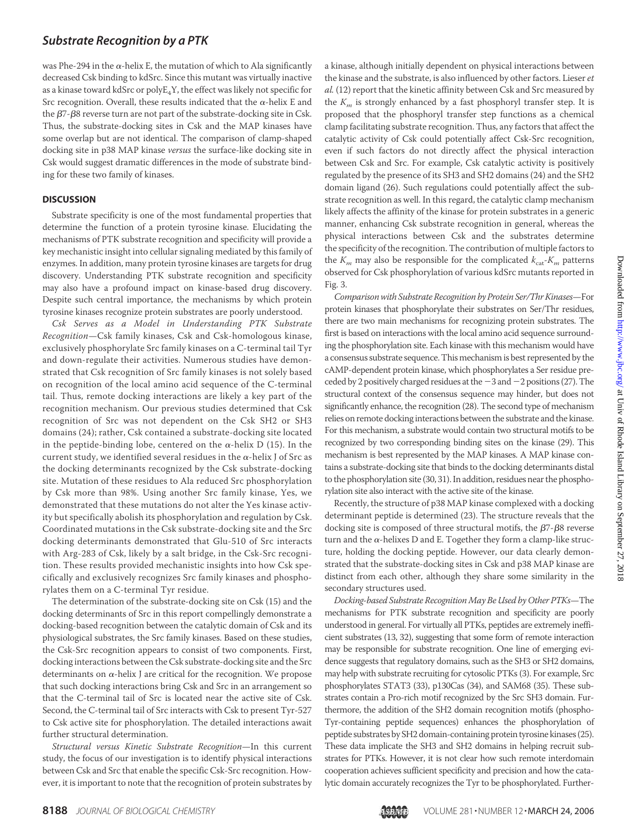### *Substrate Recognition by a PTK*

was Phe-294 in the  $\alpha$ -helix E, the mutation of which to Ala significantly decreased Csk binding to kdSrc. Since this mutant was virtually inactive as a kinase toward kdSrc or  $polyE_4Y$ , the effect was likely not specific for Src recognition. Overall, these results indicated that the  $\alpha$ -helix E and the  $\beta$ 7- $\beta$ 8 reverse turn are not part of the substrate-docking site in Csk. Thus, the substrate-docking sites in Csk and the MAP kinases have some overlap but are not identical. The comparison of clamp-shaped docking site in p38 MAP kinase *versus* the surface-like docking site in Csk would suggest dramatic differences in the mode of substrate binding for these two family of kinases.

#### **DISCUSSION**

Substrate specificity is one of the most fundamental properties that determine the function of a protein tyrosine kinase. Elucidating the mechanisms of PTK substrate recognition and specificity will provide a key mechanistic insight into cellular signaling mediated by this family of enzymes. In addition, many protein tyrosine kinases are targets for drug discovery. Understanding PTK substrate recognition and specificity may also have a profound impact on kinase-based drug discovery. Despite such central importance, the mechanisms by which protein tyrosine kinases recognize protein substrates are poorly understood.

*Csk Serves as a Model in Understanding PTK Substrate Recognition*—Csk family kinases, Csk and Csk-homologous kinase, exclusively phosphorylate Src family kinases on a C-terminal tail Tyr and down-regulate their activities. Numerous studies have demonstrated that Csk recognition of Src family kinases is not solely based on recognition of the local amino acid sequence of the C-terminal tail. Thus, remote docking interactions are likely a key part of the recognition mechanism. Our previous studies determined that Csk recognition of Src was not dependent on the Csk SH2 or SH3 domains (24); rather, Csk contained a substrate-docking site located in the peptide-binding lobe, centered on the  $\alpha$ -helix D (15). In the current study, we identified several residues in the  $\alpha$ -helix J of Src as the docking determinants recognized by the Csk substrate-docking site. Mutation of these residues to Ala reduced Src phosphorylation by Csk more than 98%. Using another Src family kinase, Yes, we demonstrated that these mutations do not alter the Yes kinase activity but specifically abolish its phosphorylation and regulation by Csk. Coordinated mutations in the Csk substrate-docking site and the Src docking determinants demonstrated that Glu-510 of Src interacts with Arg-283 of Csk, likely by a salt bridge, in the Csk-Src recognition. These results provided mechanistic insights into how Csk specifically and exclusively recognizes Src family kinases and phosphorylates them on a C-terminal Tyr residue.

The determination of the substrate-docking site on Csk (15) and the docking determinants of Src in this report compellingly demonstrate a docking-based recognition between the catalytic domain of Csk and its physiological substrates, the Src family kinases. Based on these studies, the Csk-Src recognition appears to consist of two components. First, docking interactions between the Csk substrate-docking site and the Src determinants on  $\alpha$ -helix J are critical for the recognition. We propose that such docking interactions bring Csk and Src in an arrangement so that the C-terminal tail of Src is located near the active site of Csk. Second, the C-terminal tail of Src interacts with Csk to present Tyr-527 to Csk active site for phosphorylation. The detailed interactions await further structural determination.

*Structural versus Kinetic Substrate Recognition*—In this current study, the focus of our investigation is to identify physical interactions between Csk and Src that enable the specific Csk-Src recognition. However, it is important to note that the recognition of protein substrates by a kinase, although initially dependent on physical interactions between the kinase and the substrate, is also influenced by other factors. Lieser *et al.* (12) report that the kinetic affinity between Csk and Src measured by the  $K<sub>m</sub>$  is strongly enhanced by a fast phosphoryl transfer step. It is proposed that the phosphoryl transfer step functions as a chemical clamp facilitating substrate recognition. Thus, any factors that affect the catalytic activity of Csk could potentially affect Csk-Src recognition, even if such factors do not directly affect the physical interaction between Csk and Src. For example, Csk catalytic activity is positively regulated by the presence of its SH3 and SH2 domains (24) and the SH2 domain ligand (26). Such regulations could potentially affect the substrate recognition as well. In this regard, the catalytic clamp mechanism likely affects the affinity of the kinase for protein substrates in a generic manner, enhancing Csk substrate recognition in general, whereas the physical interactions between Csk and the substrates determine the specificity of the recognition. The contribution of multiple factors to the  $K_m$  may also be responsible for the complicated  $k_{\text{cat}}-K_m$  patterns observed for Csk phosphorylation of various kdSrc mutants reported in Fig. 3.

*Comparison with Substrate Recognition by Protein Ser/Thr Kinases*—For protein kinases that phosphorylate their substrates on Ser/Thr residues, there are two main mechanisms for recognizing protein substrates. The first is based on interactions with the local amino acid sequence surrounding the phosphorylation site. Each kinase with this mechanism would have a consensus substrate sequence. This mechanism is best represented by the cAMP-dependent protein kinase, which phosphorylates a Ser residue preceded by 2 positively charged residues at the  $-3$  and  $-2$  positions (27). The structural context of the consensus sequence may hinder, but does not significantly enhance, the recognition (28). The second type of mechanism relies on remote docking interactions between the substrate and the kinase. For this mechanism, a substrate would contain two structural motifs to be recognized by two corresponding binding sites on the kinase (29). This mechanism is best represented by the MAP kinases. A MAP kinase contains a substrate-docking site that binds to the docking determinants distal to the phosphorylation site (30, 31). In addition, residues near the phosphorylation site also interact with the active site of the kinase.

Recently, the structure of p38 MAP kinase complexed with a docking determinant peptide is determined (23). The structure reveals that the docking site is composed of three structural motifs, the  $\beta$ 7- $\beta$ 8 reverse turn and the  $\alpha$ -helixes D and E. Together they form a clamp-like structure, holding the docking peptide. However, our data clearly demonstrated that the substrate-docking sites in Csk and p38 MAP kinase are distinct from each other, although they share some similarity in the secondary structures used.

*Docking-based Substrate Recognition May Be Used by Other PTKs*—The mechanisms for PTK substrate recognition and specificity are poorly understood in general. For virtually all PTKs, peptides are extremely inefficient substrates (13, 32), suggesting that some form of remote interaction may be responsible for substrate recognition. One line of emerging evidence suggests that regulatory domains, such as the SH3 or SH2 domains, may help with substrate recruiting for cytosolic PTKs (3). For example, Src phosphorylates STAT3 (33), p130Cas (34), and SAM68 (35). These substrates contain a Pro-rich motif recognized by the Src SH3 domain. Furthermore, the addition of the SH2 domain recognition motifs (phospho-Tyr-containing peptide sequences) enhances the phosphorylation of peptide substrates by SH2 domain-containing protein tyrosine kinases (25). These data implicate the SH3 and SH2 domains in helping recruit substrates for PTKs. However, it is not clear how such remote interdomain cooperation achieves sufficient specificity and precision and how the catalytic domain accurately recognizes the Tyr to be phosphorylated. Further-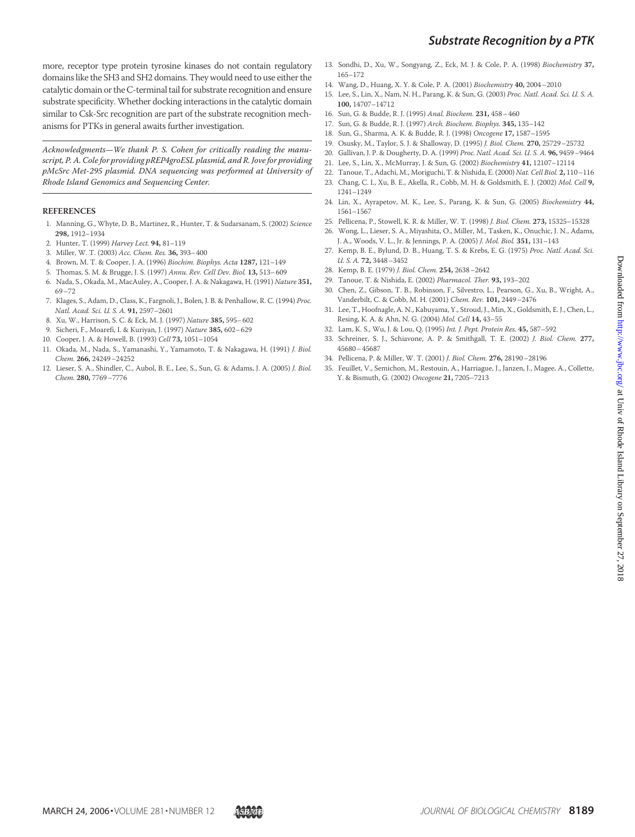more, receptor type protein tyrosine kinases do not contain regulatory domains like the SH3 and SH2 domains. They would need to use either the catalytic domain or the C-terminal tail for substrate recognition and ensure substrate specificity. Whether docking interactions in the catalytic domain similar to Csk-Src recognition are part of the substrate recognition mechanisms for PTKs in general awaits further investigation.

*Acknowledgments—We thank P. S. Cohen for critically reading the manuscript, P. A. Cole for providing pREP4groESL plasmid, and R. Jove for providing pMcSrc Met-295 plasmid. DNA sequencing was performed at University of Rhode Island Genomics and Sequencing Center.*

#### **REFERENCES**

- 1. Manning, G., Whyte, D. B., Martinez, R., Hunter, T. & Sudarsanam, S. (2002) *Science* **298,** 1912–1934
- 2. Hunter, T. (1999) *Harvey Lect.* **94,** 81–119
- 3. Miller, W. T. (2003) *Acc. Chem. Res.* **36,** 393–400
- 4. Brown, M. T. & Cooper, J. A. (1996) *Biochim. Biophys. Acta* **1287,** 121–149
- 5. Thomas, S. M. & Brugge, J. S. (1997) *Annu. Rev. Cell Dev. Biol.* **13,** 513–609
- 6. Nada, S., Okada, M., MacAuley, A., Cooper, J. A. & Nakagawa, H. (1991) *Nature* **351,** 69–72
- 7. Klages, S., Adam, D., Class, K., Fargnoli, J., Bolen, J. B. & Penhallow, R. C. (1994) *Proc. Natl. Acad. Sci. U. S. A.* **91,** 2597–2601
- 8. Xu, W., Harrison, S. C. & Eck, M. J. (1997) *Nature* **385,** 595–602
- 9. Sicheri, F., Moarefi, I. & Kuriyan, J. (1997) *Nature* **385,** 602–629
- 10. Cooper, J. A. & Howell, B. (1993) *Cell* **73,** 1051–1054
- 11. Okada, M., Nada, S., Yamanashi, Y., Yamamoto, T. & Nakagawa, H. (1991) *J. Biol. Chem.* **266,** 24249–24252
- 12. Lieser, S. A., Shindler, C., Aubol, B. E., Lee, S., Sun, G. & Adams, J. A. (2005) *J. Biol. Chem.* **280,** 7769–7776
- 13. Sondhi, D., Xu, W., Songyang, Z., Eck, M. J. & Cole, P. A. (1998) *Biochemistry* **37,** 165–172
- 14. Wang, D., Huang, X. Y. & Cole, P. A. (2001) *Biochemistry* **40,** 2004–2010
- 15. Lee, S., Lin, X., Nam, N. H., Parang, K. & Sun, G. (2003) *Proc. Natl. Acad. Sci. U. S. A.* **100,** 14707–14712
- 16. Sun, G. & Budde, R. J. (1995) *Anal. Biochem.* **231,** 458–460
- 17. Sun, G. & Budde, R. J. (1997) *Arch. Biochem. Biophys.* **345,** 135–142
- 18. Sun, G., Sharma, A. K. & Budde, R. J. (1998) *Oncogene* **17,** 1587–1595
- 19. Osusky, M., Taylor, S. J. & Shalloway, D. (1995) *J. Biol. Chem.* **270,** 25729–25732
- 20. Gallivan, J. P. & Dougherty, D. A. (1999) *Proc. Natl. Acad. Sci. U. S. A.* **96,** 9459–9464
- 21. Lee, S., Lin, X., McMurray, J. & Sun, G. (2002) *Biochemistry* **41,** 12107–12114
- 22. Tanoue, T., Adachi, M., Moriguchi, T. & Nishida, E. (2000) *Nat. Cell Biol.* **2,** 110–116
- 23. Chang, C. I., Xu, B. E., Akella, R., Cobb, M. H. & Goldsmith, E. J. (2002) *Mol. Cell* **9,** 1241–1249
- 24. Lin, X., Ayrapetov, M. K., Lee, S., Parang, K. & Sun, G. (2005) *Biochemistry* **44,** 1561–1567
- 25. Pellicena, P., Stowell, K. R. & Miller, W. T. (1998) *J. Biol. Chem.* **273,** 15325–15328
- 26. Wong, L., Lieser, S. A., Miyashita, O., Miller, M., Tasken, K., Onuchic, J. N., Adams, J. A., Woods, V. L., Jr. & Jennings, P. A. (2005) *J. Mol. Biol.* **351,** 131–143
- 27. Kemp, B. E., Bylund, D. B., Huang, T. S. & Krebs, E. G. (1975) *Proc. Natl. Acad. Sci. U. S. A.* **72,** 3448–3452
- 28. Kemp, B. E. (1979) *J. Biol. Chem.* **254,** 2638–2642
- 29. Tanoue, T. & Nishida, E. (2002) *Pharmacol. Ther.* **93,** 193–202
- 30. Chen, Z., Gibson, T. B., Robinson, F., Silvestro, L., Pearson, G., Xu, B., Wright, A., Vanderbilt, C. & Cobb, M. H. (2001) *Chem. Rev.* **101,** 2449–2476
- 31. Lee, T., Hoofnagle, A. N., Kabuyama, Y., Stroud, J., Min, X., Goldsmith, E. J., Chen, L., Resing, K. A. & Ahn, N. G. (2004) *Mol. Cell* **14,** 43–55
- 32. Lam, K. S., Wu, J. & Lou, Q. (1995) *Int. J. Pept. Protein Res.* **45,** 587–592
- 33. Schreiner, S. J., Schiavone, A. P. & Smithgall, T. E. (2002) *J. Biol. Chem.* **277,** 45680–45687
- 34. Pellicena, P. & Miller, W. T. (2001) *J. Biol. Chem.* **276,** 28190–28196
- 35. Feuillet, V., Semichon, M., Restouin, A., Harriague, J., Janzen, J., Magee, A., Collette, Y. & Bismuth, G. (2002) *Oncogene* **21,** 7205–7213

Downloaded from http://www.jbc.org/ at Univ of Rhode Island Library on September 27, 2018 Downloaded from <http://www.jbc.org/> at Univ of Rhode Island Library on September 27, 2018